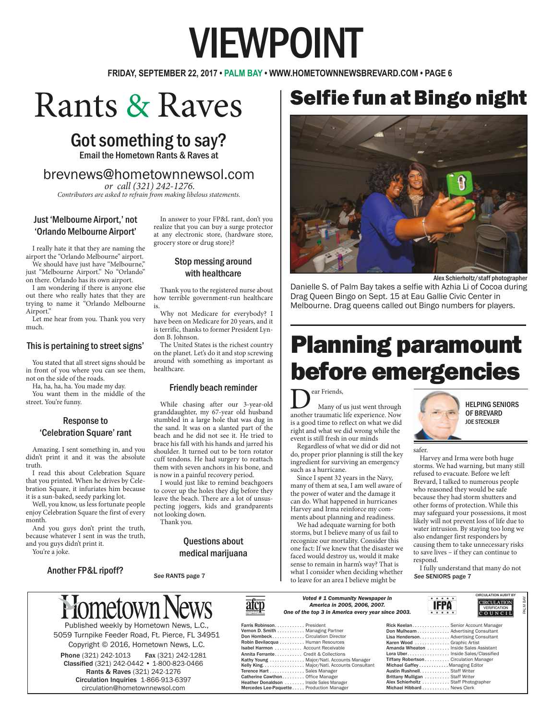# VIEWPOINT

**FRIDAY, SEPTEMBER 22, 2017 • PALM BAY • WWW.HOMETOWNNEWSBREVARD.COM • PAGE 6**

## Rants & Raves

## Got something to say?

Email the Hometown Rants & Raves at

### brevnews@hometownnewsol.com

*or call (321) 242-1276. Contributors are asked to refrain from making libelous statements.* 

#### Just 'Melbourne Airport,' not 'Orlando Melbourne Airport'

I really hate it that they are naming the airport the "Orlando Melbourne" airport. We should have just have "Melbourne,"

just "Melbourne Airport." No "Orlando" on there. Orlando has its own airport.

I am wondering if there is anyone else out there who really hates that they are trying to name it "Orlando Melbourne Airport.

Let me hear from you. Thank you very much.

#### This is pertaining to street signs'

You stated that all street signs should be in front of you where you can see them, not on the side of the roads.

Ha, ha, ha, ha. You made my day.

You want them in the middle of the street. You're funny.

#### Response to 'Celebration Square' rant

Amazing. I sent something in, and you didn't print it and it was the absolute truth.

I read this about Celebration Square that you printed. When he drives by Celebration Square, it infuriates him because it is a sun-baked, seedy parking lot.

Well, you know, us less fortunate people enjoy Celebration Square the first of every month.

And you guys don't print the truth, because whatever I sent in was the truth, and you guys didn't print it.

Another FP&L ripoff?

You're a joke.

In answer to your FP&L rant, don't you realize that you can buy a surge protector at any electronic store, (hardware store, grocery store or drug store)?

#### Stop messing around with healthcare

Thank you to the registered nurse about how terrible government-run healthcare is.

Why not Medicare for everybody? I have been on Medicare for 20 years, and it is terrific, thanks to former President Lyndon B. Johnson.

The United States is the richest country on the planet. Let's do it and stop screwing around with something as important as healthcare.

#### Friendly beach reminder

While chasing after our 3-year-old granddaughter, my 67-year old husband stumbled in a large hole that was dug in the sand. It was on a slanted part of the beach and he did not see it. He tried to brace his fall with his hands and jarred his shoulder. It turned out to be torn rotator cuff tendons. He had surgery to reattach them with seven anchors in his bone, and is now in a painful recovery period.

I would just like to remind beachgoers to cover up the holes they dig before they leave the beach. There are a lot of unsuspecting joggers, kids and grandparents not looking down.

Thank you.

#### Questions about medical marijuana



5059 Turnpike Feeder Road, Ft. Pierce, FL 34951 Copyright © 2016, Hometown News, L.C.

Phone (321) 242-1013 Fax (321) 242-1281 Classified (321) 242-0442 • 1-800-823-0466 Rants & Raves (321) 242-1276 Circulation Inquiries 1-866-913-6397 circulation@hometownnewsol.com



#### *Voted # 1 Community Newspaper in America in 2005, 2006, 2007.*  **One of the top 3 in America**

| JJ, ZUUD, ZUU <i>I.</i> | ica every year since 2003. | нгги.<br>* * * * *                     | <b>VERIFICATI</b><br>$ C$ O U N C |  |
|-------------------------|----------------------------|----------------------------------------|-----------------------------------|--|
|                         |                            | Rick Keelan Senior Account Manager     |                                   |  |
|                         |                            | Don Mulhearn Advertising Consultant    |                                   |  |
|                         |                            | Lisa Henderson Advertising Consultant  |                                   |  |
|                         |                            | Karen Wood  Graphic Artist             |                                   |  |
|                         |                            | Amanda Wheaton  Inside Sales Assistant |                                   |  |
|                         |                            | Lora Uber Inside Sales/Classified      |                                   |  |
| ts Manager              |                            | Tiffany Robertson Circulation Manager  |                                   |  |
|                         |                            |                                        |                                   |  |

Austin Rushnell.<br>Brittany Mulligan

Michael Gaffey ............. Managing Editor<br>Austin Rushnell Staff Writer

Brittany Mulligan .......... Staff Writer Alex Schierholtz ........... Staff Photographer Michael Hibbard ........... News Clerk

other forms of protection. While this may safeguard your possessions, it most likely will not prevent loss of life due to water intrusion. By staying too long we also endanger first responders by

causing them to take unnecessary risks to save lives – if they can continue to respond.

I fully understand that many do not<br>See SENIORS page 7

 $\overbrace{\mathsf{IEDA}}^{\star\star\star\star\star}$ **CIRCULATION** 



PALM BAY

safer. Harvey and Irma were both huge storms. We had warning, but many still refused to evacuate. Before we left Brevard, I talked to numerous people who reasoned they would be safe because they had storm shutters and

Planning paramount

Dear Friends, another traumatic life experience. Now Many of us just went through is a good time to reflect on what we did right and what we did wrong while the event is still fresh in our minds

Regardless of what we did or did not do, proper prior planning is still the key ingredient for surviving an emergency such as a hurricane.

Since I spent 32 years in the Navy, many of them at sea, I am well aware of the power of water and the damage it can do. What happened in hurricanes Harvey and Irma reinforce my comments about planning and readiness.

We had adequate warning for both storms, but I believe many of us fail to recognize our mortality. Consider this one fact: If we knew that the disaster we faced would destroy us, would it make sense to remain in harm's way? That is what I consider when deciding whether See RANTS page 7 **See SENIORS** page 7 **See SENIORS** page 7 **See SENIORS** page 7

HELPING SENIORS OF BREVARD JOE STECKLER

Alex Schierholtz/staff photographer

before emergencies

Danielle S. of Palm Bay takes a selfie with Azhia Li of Cocoa during

Drag Queen Bingo on Sept. 15 at Eau Gallie Civic Center in Melbourne. Drag queens called out Bingo numbers for players.

Selfie fun at Bingo night